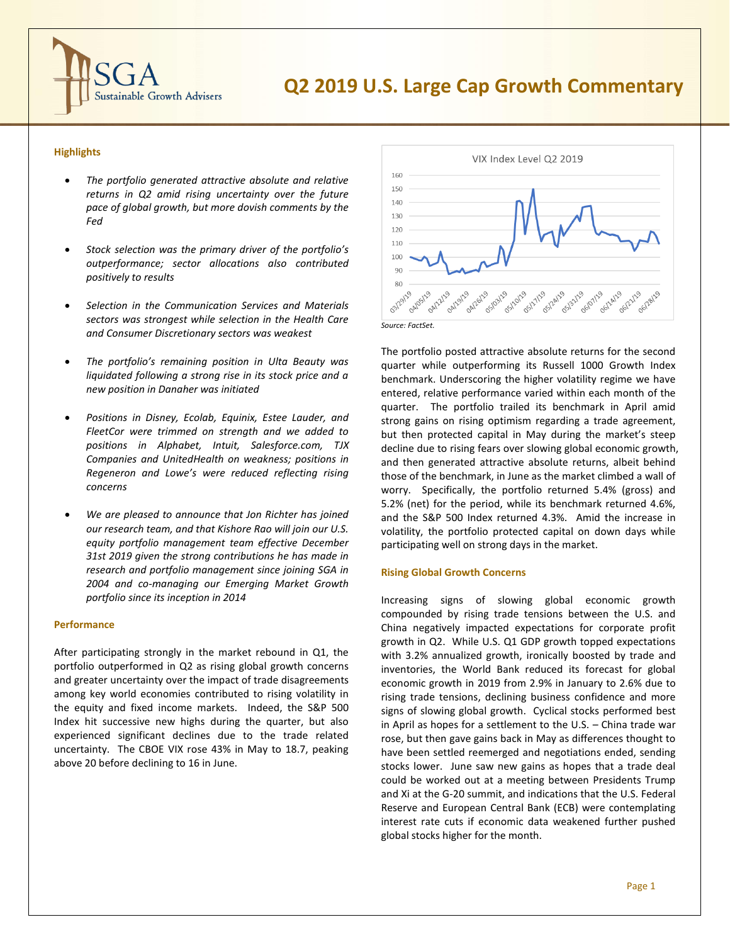

# **Q2 2019 U.S. Large Cap Growth Commentary**

# **Highlights**

- *The portfolio generated attractive absolute and relative returns in Q2 amid rising uncertainty over the future pace of global growth, but more dovish comments by the Fed*
- *Stock selection was the primary driver of the portfolio's outperformance; sector allocations also contributed positively to results*
- *Selection in the Communication Services and Materials sectors was strongest while selection in the Health Care and Consumer Discretionary sectors was weakest*
- *The portfolio's remaining position in Ulta Beauty was liquidated following a strong rise in its stock price and a new position in Danaher was initiated*
- *Positions in Disney, Ecolab, Equinix, Estee Lauder, and FleetCor were trimmed on strength and we added to positions in Alphabet, Intuit, Salesforce.com, TJX Companies and UnitedHealth on weakness; positions in Regeneron and Lowe's were reduced reflecting rising concerns*
- *We are pleased to announce that Jon Richter has joined our research team, and that Kishore Rao will join our U.S. equity portfolio management team effective December 31st 2019 given the strong contributions he has made in research and portfolio management since joining SGA in 2004 and co-managing our Emerging Market Growth portfolio since its inception in 2014*

#### **Performance**

After participating strongly in the market rebound in Q1, the portfolio outperformed in Q2 as rising global growth concerns and greater uncertainty over the impact of trade disagreements among key world economies contributed to rising volatility in the equity and fixed income markets. Indeed, the S&P 500 Index hit successive new highs during the quarter, but also experienced significant declines due to the trade related uncertainty. The CBOE VIX rose 43% in May to 18.7, peaking above 20 before declining to 16 in June.



The portfolio posted attractive absolute returns for the second quarter while outperforming its Russell 1000 Growth Index benchmark. Underscoring the higher volatility regime we have entered, relative performance varied within each month of the quarter. The portfolio trailed its benchmark in April amid strong gains on rising optimism regarding a trade agreement, but then protected capital in May during the market's steep decline due to rising fears over slowing global economic growth, and then generated attractive absolute returns, albeit behind those of the benchmark, in June as the market climbed a wall of worry. Specifically, the portfolio returned 5.4% (gross) and 5.2% (net) for the period, while its benchmark returned 4.6%, and the S&P 500 Index returned 4.3%. Amid the increase in volatility, the portfolio protected capital on down days while participating well on strong days in the market.

#### **Rising Global Growth Concerns**

Increasing signs of slowing global economic growth compounded by rising trade tensions between the U.S. and China negatively impacted expectations for corporate profit growth in Q2. While U.S. Q1 GDP growth topped expectations with 3.2% annualized growth, ironically boosted by trade and inventories, the World Bank reduced its forecast for global economic growth in 2019 from 2.9% in January to 2.6% due to rising trade tensions, declining business confidence and more signs of slowing global growth. Cyclical stocks performed best in April as hopes for a settlement to the U.S. – China trade war rose, but then gave gains back in May as differences thought to have been settled reemerged and negotiations ended, sending stocks lower. June saw new gains as hopes that a trade deal could be worked out at a meeting between Presidents Trump and Xi at the G-20 summit, and indications that the U.S. Federal Reserve and European Central Bank (ECB) were contemplating interest rate cuts if economic data weakened further pushed global stocks higher for the month.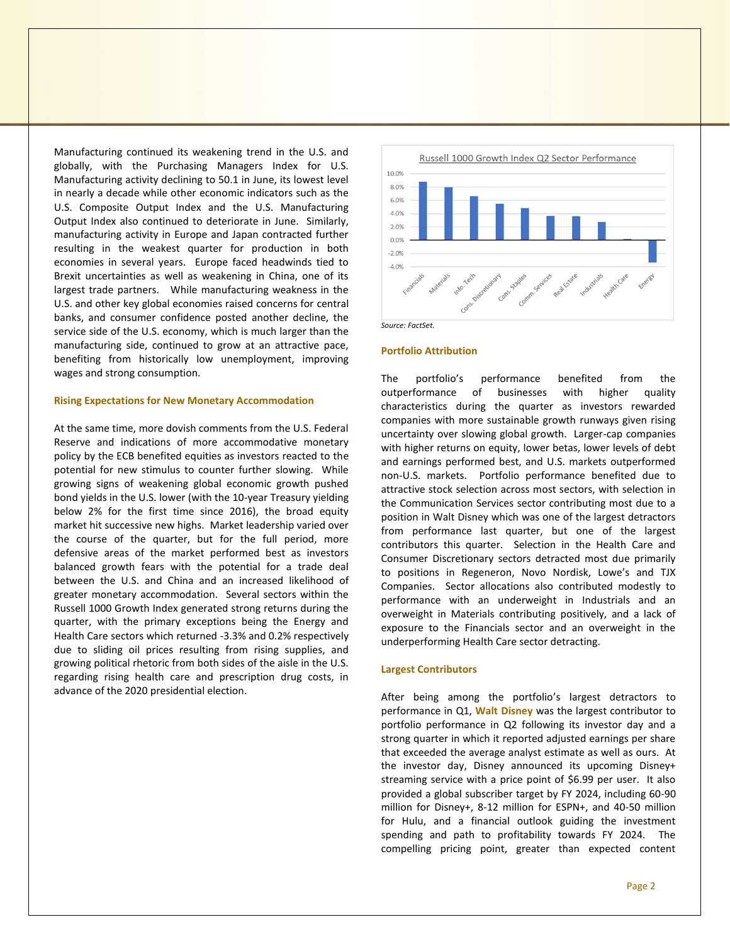Manufacturing continued its weakening trend in the U.S. and globally, with the Purchasing Managers Index for U.S. Manufacturing activity declining to 50.1 in June, its lowest level in nearly a decade while other economic indicators such as the U.S. Composite Output Index and the U.S. Manufacturing Output Index also continued to deteriorate in June. Similarly, manufacturing activity in Europe and Japan contracted further resulting in the weakest quarter for production in both economies in several years. Europe faced headwinds tied to Brexit uncertainties as well as weakening in China, one of its largest trade partners. While manufacturing weakness in the U.S. and other key global economies raised concerns for central banks, and consumer confidence posted another decline, the service side of the U.S. economy, which is much larger than the manufacturing side, continued to grow at an attractive pace, benefiting from historically low unemployment, improving wages and strong consumption.

#### **Rising Expectations for New Monetary Accommodation**

At the same time, more dovish comments from the U.S. Federal Reserve and indications of more accommodative monetary policy by the ECB benefited equities as investors reacted to the potential for new stimulus to counter further slowing. While growing signs of weakening global economic growth pushed bond yields in the U.S. lower (with the 10-year Treasury yielding below 2% for the first time since 2016), the broad equity market hit successive new highs. Market leadership varied over the course of the quarter, but for the full period, more defensive areas of the market performed best as investors balanced growth fears with the potential for a trade deal between the U.S. and China and an increased likelihood of greater monetary accommodation. Several sectors within the Russell 1000 Growth Index generated strong returns during the quarter, with the primary exceptions being the Energy and Health Care sectors which returned -3.3% and 0.2% respectively due to sliding oil prices resulting from rising supplies, and growing political rhetoric from both sides of the aisle in the U.S. regarding rising health care and prescription drug costs, in advance of the 2020 presidential election.



#### **Portfolio Attribution**

The portfolio's performance benefited from the outperformance of businesses with higher quality characteristics during the quarter as investors rewarded companies with more sustainable growth runways given rising uncertainty over slowing global growth. Larger-cap companies with higher returns on equity, lower betas, lower levels of debt and earnings performed best, and U.S. markets outperformed non-U.S. markets. Portfolio performance benefited due to attractive stock selection across most sectors, with selection in the Communication Services sector contributing most due to a position in Walt Disney which was one of the largest detractors from performance last quarter, but one of the largest contributors this quarter. Selection in the Health Care and Consumer Discretionary sectors detracted most due primarily to positions in Regeneron, Novo Nordisk, Lowe's and TJX Companies. Sector allocations also contributed modestly to performance with an underweight in Industrials and an overweight in Materials contributing positively, and a lack of exposure to the Financials sector and an overweight in the underperforming Health Care sector detracting.

#### **Largest Contributors**

After being among the portfolio's largest detractors to performance in Q1, **Walt Disney** was the largest contributor to portfolio performance in Q2 following its investor day and a strong quarter in which it reported adjusted earnings per share that exceeded the average analyst estimate as well as ours. At the investor day, Disney announced its upcoming Disney+ streaming service with a price point of \$6.99 per user. It also provided a global subscriber target by FY 2024, including 60-90 million for Disney+, 8-12 million for ESPN+, and 40-50 million for Hulu, and a financial outlook guiding the investment spending and path to profitability towards FY 2024. The compelling pricing point, greater than expected content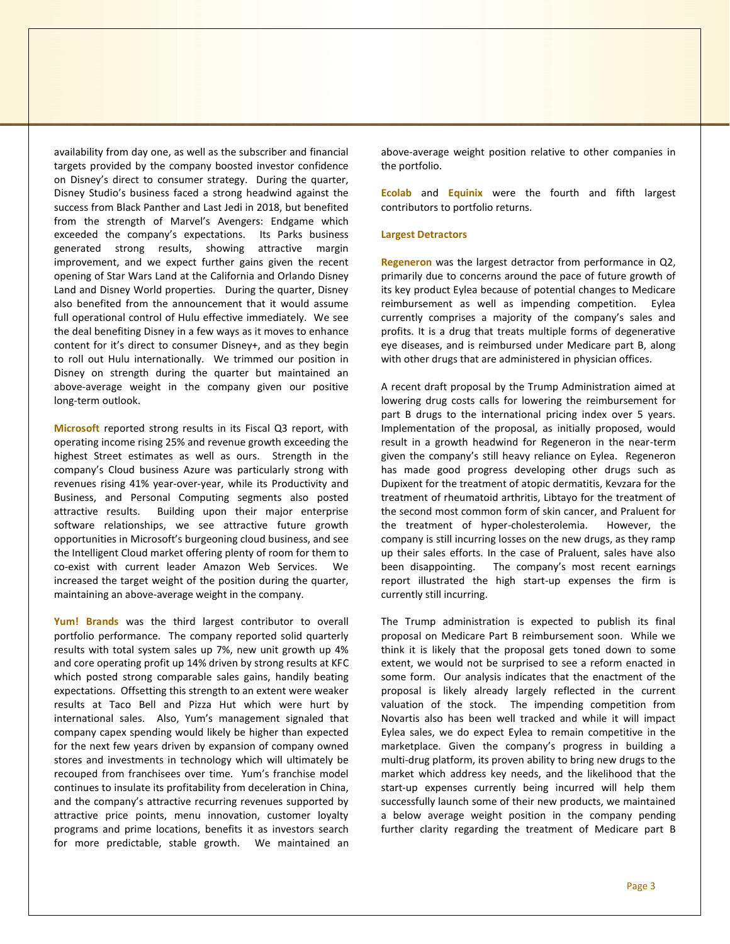availability from day one, as well as the subscriber and financial targets provided by the company boosted investor confidence on Disney's direct to consumer strategy. During the quarter, Disney Studio's business faced a strong headwind against the success from Black Panther and Last Jedi in 2018, but benefited from the strength of Marvel's Avengers: Endgame which exceeded the company's expectations. Its Parks business generated strong results, showing attractive margin improvement, and we expect further gains given the recent opening of Star Wars Land at the California and Orlando Disney Land and Disney World properties. During the quarter, Disney also benefited from the announcement that it would assume full operational control of Hulu effective immediately. We see the deal benefiting Disney in a few ways as it moves to enhance content for it's direct to consumer Disney+, and as they begin to roll out Hulu internationally. We trimmed our position in Disney on strength during the quarter but maintained an above-average weight in the company given our positive long-term outlook.

**Microsoft** reported strong results in its Fiscal Q3 report, with operating income rising 25% and revenue growth exceeding the highest Street estimates as well as ours. Strength in the company's Cloud business Azure was particularly strong with revenues rising 41% year-over-year, while its Productivity and Business, and Personal Computing segments also posted attractive results. Building upon their major enterprise software relationships, we see attractive future growth opportunities in Microsoft's burgeoning cloud business, and see the Intelligent Cloud market offering plenty of room for them to co-exist with current leader Amazon Web Services. We increased the target weight of the position during the quarter, maintaining an above-average weight in the company.

**Yum! Brands** was the third largest contributor to overall portfolio performance. The company reported solid quarterly results with total system sales up 7%, new unit growth up 4% and core operating profit up 14% driven by strong results at KFC which posted strong comparable sales gains, handily beating expectations. Offsetting this strength to an extent were weaker results at Taco Bell and Pizza Hut which were hurt by international sales. Also, Yum's management signaled that company capex spending would likely be higher than expected for the next few years driven by expansion of company owned stores and investments in technology which will ultimately be recouped from franchisees over time. Yum's franchise model continues to insulate its profitability from deceleration in China, and the company's attractive recurring revenues supported by attractive price points, menu innovation, customer loyalty programs and prime locations, benefits it as investors search for more predictable, stable growth. We maintained an

above-average weight position relative to other companies in the portfolio.

**Ecolab** and **Equinix** were the fourth and fifth largest contributors to portfolio returns.

#### **Largest Detractors**

**Regeneron** was the largest detractor from performance in Q2, primarily due to concerns around the pace of future growth of its key product Eylea because of potential changes to Medicare reimbursement as well as impending competition. Eylea currently comprises a majority of the company's sales and profits. It is a drug that treats multiple forms of degenerative eye diseases, and is reimbursed under Medicare part B, along with other drugs that are administered in physician offices.

A recent draft proposal by the Trump Administration aimed at lowering drug costs calls for lowering the reimbursement for part B drugs to the international pricing index over 5 years. Implementation of the proposal, as initially proposed, would result in a growth headwind for Regeneron in the near-term given the company's still heavy reliance on Eylea. Regeneron has made good progress developing other drugs such as Dupixent for the treatment of atopic dermatitis, Kevzara for the treatment of rheumatoid arthritis, Libtayo for the treatment of the second most common form of skin cancer, and Praluent for the treatment of hyper-cholesterolemia. However, the company is still incurring losses on the new drugs, as they ramp up their sales efforts. In the case of Praluent, sales have also been disappointing. The company's most recent earnings report illustrated the high start-up expenses the firm is currently still incurring.

The Trump administration is expected to publish its final proposal on Medicare Part B reimbursement soon. While we think it is likely that the proposal gets toned down to some extent, we would not be surprised to see a reform enacted in some form. Our analysis indicates that the enactment of the proposal is likely already largely reflected in the current valuation of the stock. The impending competition from Novartis also has been well tracked and while it will impact Eylea sales, we do expect Eylea to remain competitive in the marketplace. Given the company's progress in building a multi-drug platform, its proven ability to bring new drugs to the market which address key needs, and the likelihood that the start-up expenses currently being incurred will help them successfully launch some of their new products, we maintained a below average weight position in the company pending further clarity regarding the treatment of Medicare part B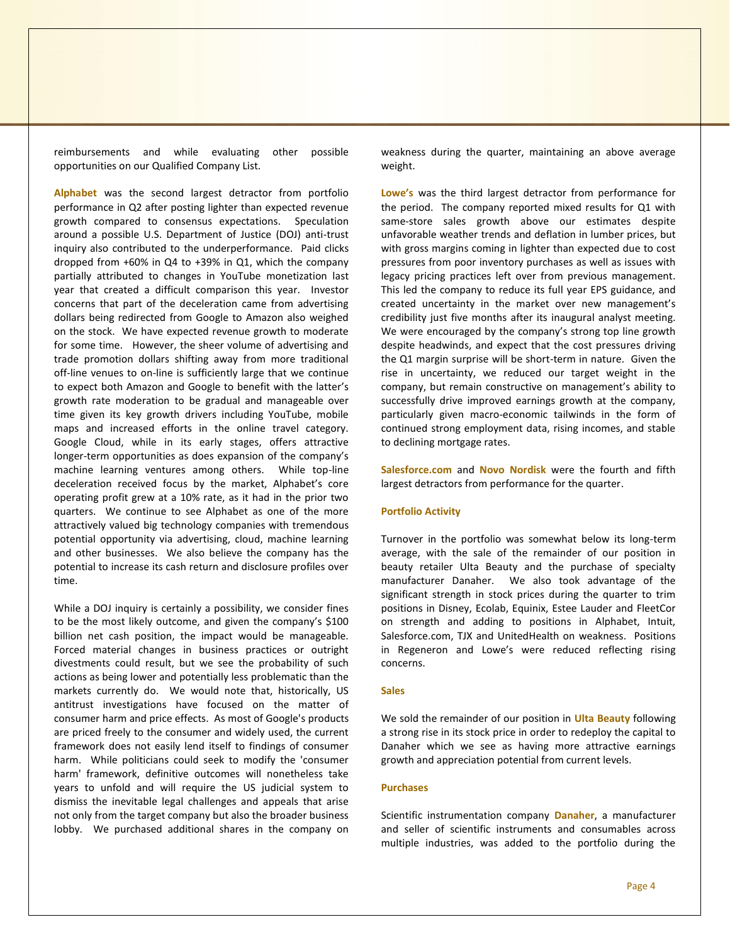reimbursements and while evaluating other possible opportunities on our Qualified Company List.

**Alphabet** was the second largest detractor from portfolio performance in Q2 after posting lighter than expected revenue growth compared to consensus expectations. Speculation around a possible U.S. Department of Justice (DOJ) anti-trust inquiry also contributed to the underperformance. Paid clicks dropped from +60% in Q4 to +39% in Q1, which the company partially attributed to changes in YouTube monetization last year that created a difficult comparison this year. Investor concerns that part of the deceleration came from advertising dollars being redirected from Google to Amazon also weighed on the stock. We have expected revenue growth to moderate for some time. However, the sheer volume of advertising and trade promotion dollars shifting away from more traditional off-line venues to on-line is sufficiently large that we continue to expect both Amazon and Google to benefit with the latter's growth rate moderation to be gradual and manageable over time given its key growth drivers including YouTube, mobile maps and increased efforts in the online travel category. Google Cloud, while in its early stages, offers attractive longer-term opportunities as does expansion of the company's machine learning ventures among others. While top-line deceleration received focus by the market, Alphabet's core operating profit grew at a 10% rate, as it had in the prior two quarters. We continue to see Alphabet as one of the more attractively valued big technology companies with tremendous potential opportunity via advertising, cloud, machine learning and other businesses. We also believe the company has the potential to increase its cash return and disclosure profiles over time.

While a DOJ inquiry is certainly a possibility, we consider fines to be the most likely outcome, and given the company's \$100 billion net cash position, the impact would be manageable. Forced material changes in business practices or outright divestments could result, but we see the probability of such actions as being lower and potentially less problematic than the markets currently do. We would note that, historically, US antitrust investigations have focused on the matter of consumer harm and price effects. As most of Google's products are priced freely to the consumer and widely used, the current framework does not easily lend itself to findings of consumer harm. While politicians could seek to modify the 'consumer harm' framework, definitive outcomes will nonetheless take years to unfold and will require the US judicial system to dismiss the inevitable legal challenges and appeals that arise not only from the target company but also the broader business lobby. We purchased additional shares in the company on

weakness during the quarter, maintaining an above average weight.

**Lowe's** was the third largest detractor from performance for the period. The company reported mixed results for Q1 with same-store sales growth above our estimates despite unfavorable weather trends and deflation in lumber prices, but with gross margins coming in lighter than expected due to cost pressures from poor inventory purchases as well as issues with legacy pricing practices left over from previous management. This led the company to reduce its full year EPS guidance, and created uncertainty in the market over new management's credibility just five months after its inaugural analyst meeting. We were encouraged by the company's strong top line growth despite headwinds, and expect that the cost pressures driving the Q1 margin surprise will be short-term in nature. Given the rise in uncertainty, we reduced our target weight in the company, but remain constructive on management's ability to successfully drive improved earnings growth at the company, particularly given macro-economic tailwinds in the form of continued strong employment data, rising incomes, and stable to declining mortgage rates.

**Salesforce.com** and **Novo Nordisk** were the fourth and fifth largest detractors from performance for the quarter.

### **Portfolio Activity**

Turnover in the portfolio was somewhat below its long-term average, with the sale of the remainder of our position in beauty retailer Ulta Beauty and the purchase of specialty manufacturer Danaher. We also took advantage of the significant strength in stock prices during the quarter to trim positions in Disney, Ecolab, Equinix, Estee Lauder and FleetCor on strength and adding to positions in Alphabet, Intuit, Salesforce.com, TJX and UnitedHealth on weakness. Positions in Regeneron and Lowe's were reduced reflecting rising concerns.

#### **Sales**

We sold the remainder of our position in **Ulta Beauty** following a strong rise in its stock price in order to redeploy the capital to Danaher which we see as having more attractive earnings growth and appreciation potential from current levels.

## **Purchases**

Scientific instrumentation company **Danaher**, a manufacturer and seller of scientific instruments and consumables across multiple industries, was added to the portfolio during the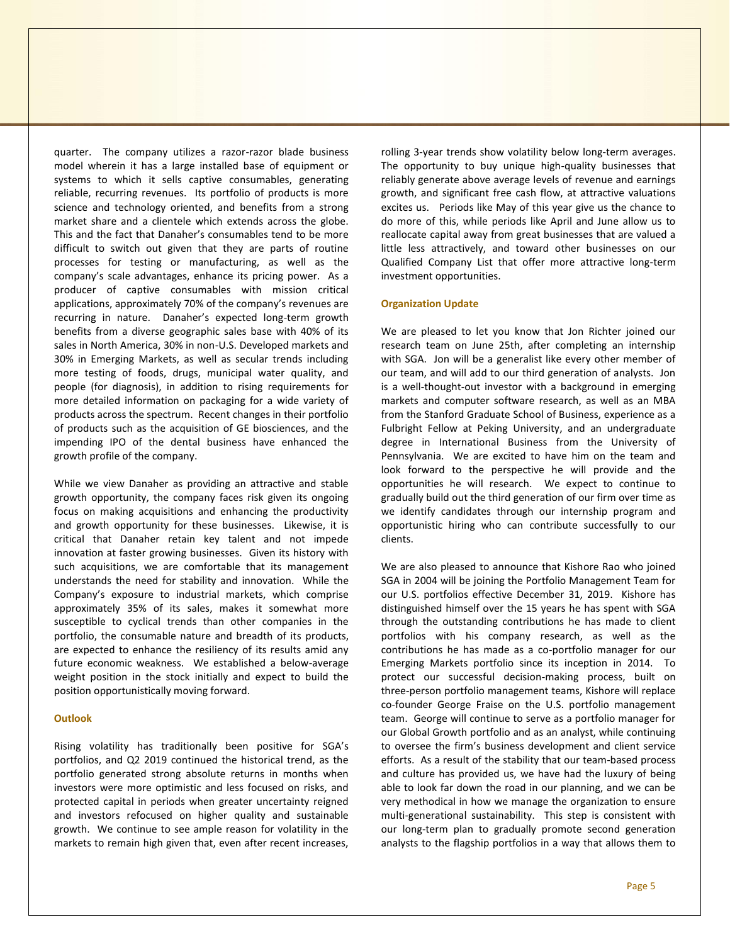quarter. The company utilizes a razor-razor blade business model wherein it has a large installed base of equipment or systems to which it sells captive consumables, generating reliable, recurring revenues. Its portfolio of products is more science and technology oriented, and benefits from a strong market share and a clientele which extends across the globe. This and the fact that Danaher's consumables tend to be more difficult to switch out given that they are parts of routine processes for testing or manufacturing, as well as the company's scale advantages, enhance its pricing power. As a producer of captive consumables with mission critical applications, approximately 70% of the company's revenues are recurring in nature. Danaher's expected long-term growth benefits from a diverse geographic sales base with 40% of its sales in North America, 30% in non-U.S. Developed markets and 30% in Emerging Markets, as well as secular trends including more testing of foods, drugs, municipal water quality, and people (for diagnosis), in addition to rising requirements for more detailed information on packaging for a wide variety of products across the spectrum. Recent changes in their portfolio of products such as the acquisition of GE biosciences, and the impending IPO of the dental business have enhanced the growth profile of the company.

While we view Danaher as providing an attractive and stable growth opportunity, the company faces risk given its ongoing focus on making acquisitions and enhancing the productivity and growth opportunity for these businesses. Likewise, it is critical that Danaher retain key talent and not impede innovation at faster growing businesses. Given its history with such acquisitions, we are comfortable that its management understands the need for stability and innovation. While the Company's exposure to industrial markets, which comprise approximately 35% of its sales, makes it somewhat more susceptible to cyclical trends than other companies in the portfolio, the consumable nature and breadth of its products, are expected to enhance the resiliency of its results amid any future economic weakness. We established a below-average weight position in the stock initially and expect to build the position opportunistically moving forward.

#### **Outlook**

Rising volatility has traditionally been positive for SGA's portfolios, and Q2 2019 continued the historical trend, as the portfolio generated strong absolute returns in months when investors were more optimistic and less focused on risks, and protected capital in periods when greater uncertainty reigned and investors refocused on higher quality and sustainable growth. We continue to see ample reason for volatility in the markets to remain high given that, even after recent increases, rolling 3-year trends show volatility below long-term averages. The opportunity to buy unique high-quality businesses that reliably generate above average levels of revenue and earnings growth, and significant free cash flow, at attractive valuations excites us. Periods like May of this year give us the chance to do more of this, while periods like April and June allow us to reallocate capital away from great businesses that are valued a little less attractively, and toward other businesses on our Qualified Company List that offer more attractive long-term investment opportunities.

#### **Organization Update**

We are pleased to let you know that Jon Richter joined our research team on June 25th, after completing an internship with SGA. Jon will be a generalist like every other member of our team, and will add to our third generation of analysts. Jon is a well-thought-out investor with a background in emerging markets and computer software research, as well as an MBA from the Stanford Graduate School of Business, experience as a Fulbright Fellow at Peking University, and an undergraduate degree in International Business from the University of Pennsylvania. We are excited to have him on the team and look forward to the perspective he will provide and the opportunities he will research. We expect to continue to gradually build out the third generation of our firm over time as we identify candidates through our internship program and opportunistic hiring who can contribute successfully to our clients.

We are also pleased to announce that Kishore Rao who joined SGA in 2004 will be joining the Portfolio Management Team for our U.S. portfolios effective December 31, 2019. Kishore has distinguished himself over the 15 years he has spent with SGA through the outstanding contributions he has made to client portfolios with his company research, as well as the contributions he has made as a co-portfolio manager for our Emerging Markets portfolio since its inception in 2014. To protect our successful decision-making process, built on three-person portfolio management teams, Kishore will replace co-founder George Fraise on the U.S. portfolio management team. George will continue to serve as a portfolio manager for our Global Growth portfolio and as an analyst, while continuing to oversee the firm's business development and client service efforts. As a result of the stability that our team-based process and culture has provided us, we have had the luxury of being able to look far down the road in our planning, and we can be very methodical in how we manage the organization to ensure multi-generational sustainability. This step is consistent with our long-term plan to gradually promote second generation analysts to the flagship portfolios in a way that allows them to